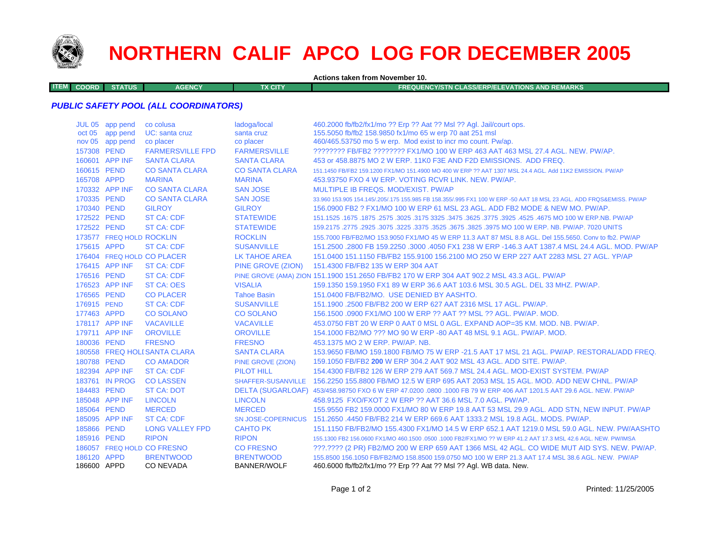

# **NORTHERN CALIF APCO LOG FOR DECEMBER 2005**

**Actions taken from November 10.**

**ITEMCOORD STATUS AGENCY TX CITY FREQUENCY/STN CLASS/ERP/ELEVATIONS AND REMARKS**

## *PUBLIC SAFETY POOL (ALL COORDINATORS)*

|                            | JUL 05 app pend          | co colusa                     | ladoga/local                           | 460.2000 fb/fb2/fx1/mo ?? Erp ?? Aat ?? Msl ?? Aql. Jail/court ops.                                                                                                    |
|----------------------------|--------------------------|-------------------------------|----------------------------------------|------------------------------------------------------------------------------------------------------------------------------------------------------------------------|
|                            | oct 05 app pend          | UC: santa cruz                | santa cruz                             | 155.5050 fb/fb2 158.9850 fx1/mo 65 w erp 70 aat 251 msl                                                                                                                |
|                            | nov 05 app pend          | co placer                     | co placer                              | 460/465.53750 mo 5 w erp. Mod exist to incr mo count. Pw/ap.                                                                                                           |
| 157308 PEND                |                          | <b>FARMERSVILLE FPD</b>       | <b>FARMERSVILLE</b>                    | ???????? FB/FB2 ???????? FX1/MO 100 W ERP 463 AAT 463 MSL 27.4 AGL, NEW, PW/AP,                                                                                        |
|                            | 160601 APP INF           | <b>SANTA CLARA</b>            | <b>SANTA CLARA</b>                     | 453 or 458,8875 MO 2 W ERP, 11K0 F3E AND F2D EMISSIONS. ADD FREQ.                                                                                                      |
| 160615 PEND                |                          | <b>CO SANTA CLARA</b>         | <b>CO SANTA CLARA</b>                  | 151.1450 FB/FB2 159.1200 FX1/MO 151.4900 MO 400 W ERP ?? AAT 1307 MSL 24.4 AGL. Add 11K2 EMISSION. PW/AP                                                               |
| 165708 APPD                |                          | <b>MARINA</b>                 | <b>MARINA</b>                          | 453.93750 FXO 4 W ERP. VOTING RCVR LINK, NEW, PW/AP.                                                                                                                   |
|                            | 170332 APP INF           | <b>CO SANTA CLARA</b>         | <b>SAN JOSE</b>                        | MULTIPLE IB FREQS, MOD/EXIST, PW/AP                                                                                                                                    |
| 170335 PEND                |                          | <b>CO SANTA CLARA</b>         | <b>SAN JOSE</b>                        | 33,960 153,905 154,145/.205/.175 155,985 FB 158,355/.995 FX1 100 W ERP -50 AAT 18 MSL 23 AGL. ADD FRQS&EMISS, PW/AP                                                    |
| 170340 PEND                |                          | <b>GILROY</b>                 | <b>GILROY</b>                          | 156,0900 FB2 ? FX1/MO 100 W ERP 61 MSL 23 AGL. ADD FB2 MODE & NEW MO, PW/AP.                                                                                           |
| 172522 PEND                |                          | <b>ST CA: CDF</b>             | <b>STATEWIDE</b>                       | 151.1525 .1675 .1675 .3625 .3775 .3925 .3775 .3925 .3775 .3925 .3775 .3925 .4575 .2678 .1675 .1677 .1525 .167                                                          |
| 172522 PEND                |                          | <b>ST CA: CDF</b>             | <b>STATEWIDE</b>                       | 159,2175, 2775, 2925, 3075, 3225, 3375, 3525, 3675, 3825, 3975 MO 100 W ERP, NB, PW/AP, 7020 UNITS                                                                     |
|                            | 173577 FREQ HOLD ROCKLIN |                               | <b>ROCKLIN</b>                         | 155,7000 FB/FB2/MO 153,9050 FX1/MO 45 W ERP 11.3 AAT 87 MSL 8.8 AGL, Del 155,5650, Conv to fb2, PW/AP                                                                  |
| 175615 APPD                |                          | <b>ST CA: CDF</b>             | <b>SUSANVILLE</b>                      | 151.2500 .2800 FB 159.2250 .3000 .4050 FX1 238 W ERP -146.3 AAT 1387.4 MSL 24.4 AGL, MOD, PW/AP                                                                        |
|                            |                          | 176404 FREQ HOLD CO PLACER    | LK TAHOE AREA                          | 151.0400 151.1150 FB/FB2 155.9100 156.2100 MO 250 W ERP 227 AAT 2283 MSL 27 AGL. YP/AP                                                                                 |
|                            | 176415 APP INF           | <b>ST CA: CDF</b>             | PINE GROVE (ZION)                      | 151.4300 FB/FB2 135 W ERP 304 AAT                                                                                                                                      |
| 176516 PEND                |                          | <b>ST CA: CDF</b>             |                                        | PINE GROVE (AMA) ZION 151.1900 151.2650 FB/FB2 170 W ERP 304 AAT 902.2 MSL 43.3 AGL. PW/AP                                                                             |
|                            | 176523 APP INF           | ST CA: OES                    | <b>VISALIA</b>                         | 159.1350 159.1950 FX1 89 W ERP 36.6 AAT 103.6 MSL 30.5 AGL. DEL 33 MHZ. PW/AP.                                                                                         |
| 176565 PEND                |                          | <b>CO PLACER</b>              | <b>Tahoe Basin</b>                     | 151.0400 FB/FB2/MO. USE DENIED BY AASHTO.                                                                                                                              |
| 176915 PEND                |                          | <b>ST CA: CDF</b>             | <b>SUSANVILLE</b>                      | 151.1900 .2500 FB/FB2 200 W ERP 627 AAT 2316 MSL 17 AGL, PW/AP.                                                                                                        |
| 177463 APPD                |                          | <b>CO SOLANO</b>              | <b>CO SOLANO</b>                       | 156.1500,0900 FX1/MO 100 W ERP ?? AAT ?? MSL ?? AGL, PW/AP, MOD.                                                                                                       |
|                            | 178117 APP INF           | <b>VACAVILLE</b>              | <b>VACAVILLE</b>                       | 453.0750 FBT 20 W ERP 0 AAT 0 MSL 0 AGL, EXPAND AOP=35 KM, MOD, NB, PW/AP,                                                                                             |
|                            | 179711 APP INF           | <b>OROVILLE</b>               | <b>OROVILLE</b>                        | 154,1000 FB2/MO ??? MO 90 W ERP -80 AAT 48 MSL 9.1 AGL, PW/AP, MOD.                                                                                                    |
| 180036 PEND                |                          | <b>FRESNO</b>                 | <b>FRESNO</b>                          | 453.1375 MO 2 W ERP. PW/AP. NB.                                                                                                                                        |
|                            |                          | 180558 FREQ HOLI SANTA CLARA  | <b>SANTA CLARA</b>                     | 153,9650 FB/MO 159,1800 FB/MO 75 W ERP -21.5 AAT 17 MSL 21 AGL, PW/AP, RESTORAL/ADD FREQ.                                                                              |
| 180788 PEND                |                          | <b>CO AMADOR</b>              | <b>PINE GROVE (ZION)</b>               | 159.1050 FB/FB2 200 W ERP 304.2 AAT 902 MSL 43 AGL, ADD SITE, PW/AP.                                                                                                   |
|                            | 182394 APP INF           | <b>ST CA: CDF</b>             | PILOT HILL                             | 154,4300 FB/FB2 126 W ERP 279 AAT 569.7 MSL 24.4 AGL, MOD-EXIST SYSTEM, PW/AP                                                                                          |
|                            | 183761 IN PROG           | <b>CO LASSEN</b>              | <b>SHAFFER-SUSANVILLE</b>              | 156.2250 155.8800 FB/MO 12.5 W ERP 695 AAT 2053 MSL 15 AGL. MOD. ADD NEW CHNL. PW/AP                                                                                   |
| 184483 PEND                |                          | <b>ST CA: DOT</b>             |                                        | DELTA (SUGARLOAF) 453/458.98750 FXO 6 W ERP 47.0200 .0800 .1000 FB 79 W ERP 406 AAT 1201.5 AAT 29.6 AGL. NEW, PW/AP                                                    |
|                            | 185048 APP INF           | <b>LINCOLN</b>                | <b>LINCOLN</b>                         | 458.9125 FXO/FXOT 2 W ERP ?? AAT 36.6 MSL 7.0 AGL, PW/AP.                                                                                                              |
| 185064 PEND                |                          | <b>MERCED</b>                 | <b>MERCED</b>                          | 155,9550 FB2 159,0000 FX1/MO 80 W ERP 19.8 AAT 53 MSL 29.9 AGL, ADD STN, NEW INPUT, PW/AP                                                                              |
|                            | 185095 APP INF           | <b>ST CA: CDF</b>             | <b>SN JOSE-COPERNICUS</b>              | 151.2650 .4450 FB/FB2 214 W ERP 669.6 AAT 1333.2 MSL 19.8 AGL. MODS. PW/AP.                                                                                            |
| 185866 PEND                |                          | <b>LONG VALLEY FPD</b>        | <b>CAHTO PK</b>                        | 151.1150 FB/FB2/MO 155.4300 FX1/MO 14.5 W ERP 652.1 AAT 1219.0 MSL 59.0 AGL. NEW. PW/AASHTO                                                                            |
| 185916 PEND                |                          | <b>RIPON</b>                  | <b>RIPON</b>                           | 155.1300 FB2 156.0600 FX1/MO 460.1500 .0500 .1000 FB2/FX1/MO ?? W ERP 41.2 AAT 17.3 MSL 42.6 AGL. NEW. PW/IMSA                                                         |
|                            |                          | 186057 FREQ HOLD CO FRESNO    | <b>CO FRESNO</b>                       | ???.???? (2 PR) FB2/MO 200 W ERP 659 AAT 1366 MSL 42 AGL. CO WIDE MUT AID SYS. NEW. PW/AP.                                                                             |
| 186120 APPD<br>186600 APPD |                          | <b>BRENTWOOD</b><br>CO NEVADA | <b>BRENTWOOD</b><br><b>BANNER/WOLF</b> | 155.8500 156.1050 FB/FB2/MO 158.8500 159.0750 MO 100 W ERP 21.3 AAT 17.4 MSL 38.6 AGL, NEW. PW/AP<br>460.6000 fb/fb2/fx1/mo ?? Erp ?? Aat ?? Msl ?? Agl. WB data. New. |
|                            |                          |                               |                                        |                                                                                                                                                                        |